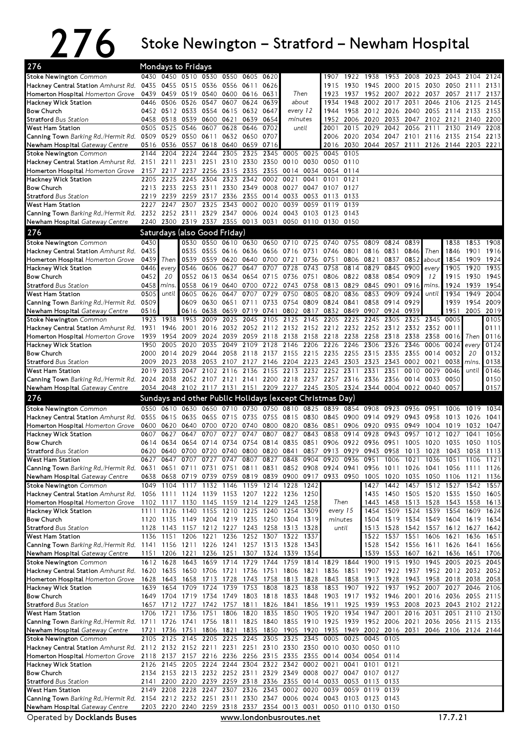## 276 Stoke Newington – Stratford – Newham Hospital

| 276                                                                                                  |              |                        | Mondays to Fridays          |              |                                    |                         |                   |                                                                                                                                 |              |                                    |                |                   |                |              |                                                                                                                                 |                        |              |              |
|------------------------------------------------------------------------------------------------------|--------------|------------------------|-----------------------------|--------------|------------------------------------|-------------------------|-------------------|---------------------------------------------------------------------------------------------------------------------------------|--------------|------------------------------------|----------------|-------------------|----------------|--------------|---------------------------------------------------------------------------------------------------------------------------------|------------------------|--------------|--------------|
| <b>Stoke Newington</b> Common                                                                        |              |                        |                             |              | 0430 0450 0510 0530 0550           | 0605                    | 0620              |                                                                                                                                 |              | 1907                               |                | 1922 1938         | 1953           | 2008         |                                                                                                                                 | 2023 2043              | 2104         | 2124         |
| Hackney Central Station Amhurst Rd.                                                                  | 0435         | 0455                   | 0515                        |              | 0536 0556 0611                     |                         | 0626              |                                                                                                                                 |              | 1915                               | 1930           | 1945              | 2000           | 2015         | 2030                                                                                                                            | 2050 2111              |              | 2131         |
| Homerton Hospital Homerton Grove                                                                     | 0439         |                        |                             |              | 0459 0519 0540 0600 0616           |                         | 0631              |                                                                                                                                 | Then         | 1923                               | 1937           | 1952              | 2007           |              | 2022 2037 2057                                                                                                                  |                        | 2117         | 2137         |
| Hackney Wick Station<br><b>Bow Church</b>                                                            | 0446         | 0506<br>0452 0512 0533 | 0526                        | 0547<br>0554 | 0607<br>0615                       | 0624<br>0632            | 0639<br>0647      | about<br>every 12                                                                                                               |              | 1934<br>1944                       | 1948<br>1958   | 2002<br>2012      | 2017<br>2026   | 2031<br>2040 | 2046                                                                                                                            | 2106<br>2055 2114 2133 | 2125         | 2145<br>2153 |
| <b>Stratford Bus Station</b>                                                                         |              | 0458 0518              | 0539                        | 0600         | 0621                               | 0639                    | 0654              | minutes                                                                                                                         |              | 1952                               |                | 2006 2020         | 2033           |              | 2047 2102 2121                                                                                                                  |                        | 2140         | 2200         |
| West Ham Station                                                                                     | 0505         | 0525                   | 0546                        | 0607         | 0628                               | 0646                    | 0702              |                                                                                                                                 | until        | 2001                               | 2015           | 2029              | 2042           | 2056         | 2111                                                                                                                            | 2130                   | 2149         | 2208         |
| Canning Town Barking Rd./Hermit Rd. 0509 0529 0550 0611 0632 0650                                    |              |                        |                             |              |                                    |                         | 0707              |                                                                                                                                 |              |                                    | 2006 2020 2034 |                   |                |              | 2047 2101 2116 2135 2154 2213                                                                                                   |                        |              |              |
| Newham Hospital Gateway Centre                                                                       | 0516         | 0536                   | 0557                        |              | 0618 0640                          | 0659                    | 0716              |                                                                                                                                 |              | 2016                               |                |                   |                |              | 2030 2044 2057 2111 2126 2144 2203 2221                                                                                         |                        |              |              |
| <b>Stoke Newington</b> Common                                                                        | 2144         | 2204                   | $22\overline{24}$           | 2244         | 2305                               | 2325                    | 2345              | 0005                                                                                                                            | 0025         | 0045                               | 0105           |                   |                |              |                                                                                                                                 |                        |              |              |
| Hackney Central Station Amhurst Rd.                                                                  |              | 2217                   | 2151 2211 2231 2251<br>2237 | 2256         | 2315                               | 2310 2330 2350<br>2335  |                   | 0010<br>0014                                                                                                                    | 0030<br>0034 | 0050 0110<br>0054                  | 0114           |                   |                |              |                                                                                                                                 |                        |              |              |
| Homerton Hospital Homerton Grove<br>Hackney Wick Station                                             | 2157         | 2205 2225              | 2245                        | 2304         |                                    | 2323 2342               | 2355<br>0002 0021 |                                                                                                                                 | 0041         | 0101                               | 0121           |                   |                |              |                                                                                                                                 |                        |              |              |
| <b>Bow Church</b>                                                                                    |              | 2213 2233              | 2253 2311                   |              |                                    | 2330 2349               | 0008              |                                                                                                                                 | 0027 0047    | 0107 0127                          |                |                   |                |              |                                                                                                                                 |                        |              |              |
| <b>Stratford Bus Station</b>                                                                         |              | 2219 2239              | 2259                        | 2317         | 2336                               | 2355                    | 0014              | 0033                                                                                                                            | 0053         | 0113                               | 0133           |                   |                |              |                                                                                                                                 |                        |              |              |
| West Ham Station                                                                                     | 2227         | 2247                   | 2307                        | 2325         | 2343 0002                          |                         | 0020              | 0039                                                                                                                            | 0059         | 0119                               | 0139           |                   |                |              |                                                                                                                                 |                        |              |              |
| <b>Canning Town</b> Barking Rd./Hermit Rd.                                                           |              |                        | 2232 2252 2311              |              | 2329 2347                          | 0006                    | 0024              |                                                                                                                                 | 0043 0103    | 0123 0143                          |                |                   |                |              |                                                                                                                                 |                        |              |              |
| Newham Hospital Gateway Centre                                                                       |              |                        |                             |              | 2240 2300 2319 2337 2355 0013 0031 |                         |                   |                                                                                                                                 |              | 0050 0110 0130 0150                |                |                   |                |              |                                                                                                                                 |                        |              |              |
| 276                                                                                                  |              |                        |                             |              | Saturdays (also Good Friday)       |                         |                   |                                                                                                                                 |              |                                    |                |                   |                |              |                                                                                                                                 |                        |              |              |
| Stoke Newington Common                                                                               | 0430         |                        | 0530                        | 0550         |                                    | 0610 0630 0650          |                   | 0710 0725                                                                                                                       |              | 0740                               | 0755           | 0809              | 0824           | 0839         |                                                                                                                                 | 1838                   | 1853 1908    |              |
| Hackney Central Station Amhurst Rd.                                                                  | 0435         |                        | 0535<br>0539                | 0555<br>0559 | 0616<br>0620                       | 0636<br>0640            | 0700              | 0656 0716 0731                                                                                                                  | 0736         |                                    | 0746 0801      | 0816<br>0806 0821 | 0831           | 0846         | Then                                                                                                                            | 1846                   | 1901         | 1916         |
| Homerton Hospital Homerton Grove<br>Hackney Wick Station                                             | 0439<br>0446 | Then<br>every          | 0546                        | 0606         | 0627                               | 0647                    | 0707              | 0721<br>0728                                                                                                                    | 0743         | 0751<br>0758                       | 0814           | 0829              | 0837<br>0845   | 0852<br>0900 | about<br>every                                                                                                                  | 1854<br>1905           | 1909<br>1920 | 1924<br>1935 |
| <b>Bow Church</b>                                                                                    | 0452         | 20                     | 0552                        | 0613         | 0634                               | 0654                    | 0715              |                                                                                                                                 | 0736 0751    | 0806                               | 0822           | 0838              | 0854           | 0909         | 12                                                                                                                              | 1915                   | 1930         | 1945         |
| <b>Stratford Bus Station</b>                                                                         | 0458         | mins.                  | 0558                        | 0619         | 0640                               | 0700                    | 0722              |                                                                                                                                 | 0743 0758    |                                    | 0813 0829      | 0845              | 0901           | 0916         | mins                                                                                                                            | 1924                   | 1939         | 1954         |
| West Ham Station                                                                                     | 0505         | until                  | 0605                        | 0626         | 0647                               | 0707                    | 0729              | 0750                                                                                                                            | 0805         | 0820                               | 0836           | 0853              | 0909           | 0924         | until                                                                                                                           | 1934                   | 1949         | 2004         |
| Canning Town Barking Rd./Hermit Rd.                                                                  | 0509         |                        | 0609                        | 0630         | 0651                               | 0711                    | 0733              |                                                                                                                                 | 0754 0809    |                                    | 0824 0841      | 0858              | 0914 0929      |              |                                                                                                                                 | 1939                   | 1954         | 2009         |
| Newham Hospital Gateway Centre                                                                       | 0516         |                        | 0616                        | 0638         | 0659                               | 0719                    | 0741              |                                                                                                                                 | 0802 0817    | 0832                               | 0849           | 0907              | 0924           | 0939         |                                                                                                                                 | 1951                   | 2005         | 2019         |
| <b>Stoke Newington</b> Common                                                                        | 1923         | 1938                   | 1953<br>2001                | 2009         | 2025                               | 2045                    | 2105              | 2125<br>2016 2032 2052 2112 2132 2152 2212 2232 2252 2312 2332 2352                                                             | 2145         | 2205                               | 2225           | 2245              | 2305           | 2325         | 2345                                                                                                                            | 0005<br>0011           |              | 0105<br>0111 |
| Hackney Central Station Amhurst Rd. 1931 1946<br>Homerton Hospital Homerton Grove                    | 1939         | 1954                   | 2009                        | 2024         | 2039                               | 2059                    | 2118              | 2138 2158                                                                                                                       |              | 2218 2238                          |                | 2258              | 2318           | 2338         | 2358                                                                                                                            | 0016                   | Then         | 0116         |
| Hackney Wick Station                                                                                 | 1950         | 2005                   | 2020                        | 2035         | 2049                               | 2109                    | 2128              | 2146                                                                                                                            | 2206         | 2226                               | 2246           | 2306              | 2326           | 2346         | 0006                                                                                                                            | 0024                   | every        | 0124         |
| <b>Bow Church</b>                                                                                    |              | 2000 2014              | 2029                        | 2044         |                                    | 2058 2118               |                   | 2137 2155 2215                                                                                                                  |              | 2235 2255 2315                     |                |                   | 2335           | 2355         | 0014                                                                                                                            | 0032                   | 20           | 0132         |
| <b>Stratford Bus Station</b>                                                                         | 2009         | 2023                   | 2038                        | 2053         | 2107                               | 2127                    | 2146              | 2204 2223                                                                                                                       |              | 2243                               | 2303           | 2323              | 2343           | 0002         | 0021                                                                                                                            | 0038                   | <i>mins</i>  | 0138         |
| West Ham Station                                                                                     |              | 2019 2033              | 2047                        |              | 2102 2116 2136                     |                         |                   | 2155 2213 2232 2252 2311                                                                                                        |              |                                    |                | 2331              | 2351           | 0010         | 0029                                                                                                                            | 0046                   | until        | 0146         |
| Canning Town Barking Rd./Hermit Rd. 2024 2038                                                        |              |                        |                             |              |                                    |                         |                   | 2052 2107 2121 2141 2200 2218 2237 2257 2316 2336                                                                               |              |                                    |                |                   | 2356 0014 0033 |              |                                                                                                                                 | 0050                   |              | 0150         |
| Newham Hospital Gateway Centre                                                                       |              |                        |                             |              |                                    |                         |                   | 2034 2048 2102 2117 2131 2151 2209 2227 2245 2305 2324 2344 0004 0022 0040                                                      |              |                                    |                |                   |                |              |                                                                                                                                 | 0057                   |              | 0157         |
| 276                                                                                                  |              |                        |                             |              |                                    |                         |                   | Sundays and other Public Holidays (except Christmas Day)                                                                        |              |                                    |                |                   |                |              |                                                                                                                                 |                        |              |              |
| Stoke Newington Common                                                                               |              |                        | 0550 0610 0630 0650         |              | 0710                               |                         |                   | 0730 0750 0810 0825 0839 0854 0908                                                                                              |              |                                    |                |                   | 0923           | 0936         | 0951                                                                                                                            | 1006                   | 1019         | 1034         |
| Hackney Central Station Amhurst Rd.<br>Homerton Hospital Homerton Grove                              | 0600         | 0555 0615<br>0620      | 0635<br>0640                | 0655<br>0700 | 0715<br>0720                       | 0735<br>0740            | 0755<br>0800      | 0815 0830                                                                                                                       | 0820 0836    | 0845 0900<br>0851                  | 0906           | 0914<br>0920      | 0929<br>0935   | 0943<br>0949 | 0958<br>1004                                                                                                                    | 1013<br>1019           | 1026<br>1032 | 1041<br>1047 |
| Hackney Wick Station                                                                                 | 0607         | 0627                   | 0647                        | 0707         | 0727                               | 0747                    | 0807              | 0827                                                                                                                            | 0843         | 0858                               | 0914           | 0928              | 0943           | 0957         | 1012                                                                                                                            | 1027                   | 1041         | 1056         |
| <b>Bow Church</b>                                                                                    | 0614         | 0634                   | 0654                        | 0714         | 0734                               | 0754                    | 0814              | 0835                                                                                                                            | 0851         | 0906                               | 0922           | 0936              | 0951           | 1005         | 1020                                                                                                                            | 1035                   | 1050         | 1105         |
| <b>Stratford Bus Station</b>                                                                         |              |                        |                             |              |                                    |                         |                   | 0620 0640 0700 0720 0740 0800 0820 0841 0857 0913 0929 0943 0958 1013 1028                                                      |              |                                    |                |                   |                |              |                                                                                                                                 | 1043 1058              |              | 1113         |
| West Ham Station                                                                                     | 0627         | 0647 0707              |                             | 0727         | 0747                               | 0807                    | 0827              | 0848 0904                                                                                                                       |              | 0920 0936 0951                     |                |                   | 1006           | 1021         | 1036                                                                                                                            | 1051 1106              |              | 1121         |
| <b>Canning Town</b> Barking Rd./Hermit Rd.                                                           |              |                        |                             |              |                                    |                         |                   |                                                                                                                                 |              |                                    |                |                   |                |              | 0631 0651 0711 0731 0751 0811 0831 0852 0908 0924 0941 0956 1011 1026 1041 1056 1111 1126                                       |                        |              |              |
| Newham Hospital Gateway Centre<br><b>Stoke Newington Common</b>                                      |              |                        |                             |              |                                    |                         |                   | 1049 1104 1117 1132 1146 1159 1214 1228 1242                                                                                    |              |                                    |                |                   |                |              | 0638 0658 0719 0739 0759 0819 0839 0900 0917 0933 0950 1005 1020 1035 1050 1106 1121 1136<br>1427 1442 1457 1512 1527 1542 1557 |                        |              |              |
| Hackney Central Station Amhurst Rd. 1056 1111 1124 1139 1153 1207 1222 1236 1250                     |              |                        |                             |              |                                    |                         |                   |                                                                                                                                 |              |                                    |                | 1435              |                |              | 1450 1505 1520 1535 1550 1605                                                                                                   |                        |              |              |
| Homerton Hospital Homerton Grove                                                                     |              |                        |                             |              |                                    |                         |                   | 1102 1117 1130 1145 1159 1214 1229 1243 1258                                                                                    |              | Then                               |                | 1443              |                |              | 1458 1513 1528 1543 1558 1613                                                                                                   |                        |              |              |
| Hackney Wick Station                                                                                 |              | 1111 1126              | 1140                        |              | 1155 1210 1225 1240                |                         |                   | 1254 1309                                                                                                                       |              |                                    | every 15       | 1454              |                | 1509 1524    |                                                                                                                                 | 1539 1554              | 1609         | 1624         |
| <b>Bow Church</b>                                                                                    |              |                        |                             |              |                                    |                         |                   | 1120 1135 1149 1204 1219 1235 1250 1304 1319                                                                                    |              | minutes                            |                |                   |                |              | 1504 1519 1534 1549 1604 1619                                                                                                   |                        |              | 1634         |
| <b>Stratford Bus Station</b>                                                                         | 1128         | 1143                   |                             |              |                                    |                         |                   | 1157 1212 1227 1243 1258 1313 1328                                                                                              |              |                                    | until          |                   |                |              | 1513 1528 1542 1557 1612 1627                                                                                                   |                        |              | 1642         |
| West Ham Station<br>Canning Town Barking Rd./Hermit Rd. 1141 1156 1211 1226 1241 1257 1313 1328 1343 |              | 1136 1151              |                             |              |                                    |                         |                   | 1206 1221 1236 1252 1307 1322 1337                                                                                              |              |                                    |                | 1528              |                |              | 1522 1537 1551 1606 1621<br>1542 1556 1611 1626 1641                                                                            |                        | 1636 1651    | 1656         |
| Newham Hospital Gateway Centre                                                                       |              | 1151 1206              | 1221                        | 1236         | 1251                               | 1307 1324               |                   | 1339                                                                                                                            | 1354         |                                    |                | 1539              | 1553           | 1607         | 1621                                                                                                                            | 1636                   | 1651         | 1706         |
| <b>Stoke Newington</b> Common                                                                        |              | 1612 1628              | 1643                        |              | 1659 1714 1729                     |                         | 1744              |                                                                                                                                 |              | 1759 1814 1829 1844 1900 1915 1930 |                |                   |                |              |                                                                                                                                 | 1945 2005              | 2025         | 2045         |
| Hackney Central Station Amhurst Rd. 1620 1635                                                        |              |                        |                             |              | 1650 1706 1721 1736 1751           |                         |                   | 1806 1821                                                                                                                       |              |                                    |                |                   |                |              | 1836 1851 1907 1922 1937 1952 2012 2032                                                                                         |                        |              | 2052         |
| Homerton Hospital Homerton Grove                                                                     |              | 1628 1643              | 1658                        |              | 1713 1728 1743 1758                |                         |                   | 1813 1828                                                                                                                       |              |                                    |                |                   |                |              | 1843 1858 1913 1928 1943 1958 2018 2038                                                                                         |                        |              | 2058         |
| Hackney Wick Station                                                                                 |              | 1639 1654              |                             | 1709 1724    |                                    | 1739 1753               | 1808              | 1823 1838                                                                                                                       |              |                                    | 1853 1907 1922 |                   |                |              | 1937 1952 2007 2027                                                                                                             |                        | 2046         | 2106         |
| <b>Bow Church</b>                                                                                    |              | 1649 1704              |                             |              |                                    |                         |                   | 1719 1734 1749 1803 1818 1833 1848                                                                                              |              | 1903 1917 1932 1946 2001           |                |                   |                |              |                                                                                                                                 | 2016 2036 2055         |              | 2115         |
| <b>Stratford Bus Station</b><br>West Ham Station                                                     |              | 1706 1721              | 1736                        | 1751         | 1806                               | 1820                    | 1835              | 1657 1712 1727 1742 1757 1811 1826 1841 1856 1911 1925 1939 1953 2008<br>1850                                                   | 1905         | 1920                               | 1934           | 1947              | 2001           |              | 2023 2043 2102 2122<br>2016 2031                                                                                                | 2051                   | 2110         | 2130         |
| <b>Canning Town</b> Barking Rd./Hermit Rd.                                                           |              |                        |                             |              |                                    |                         |                   |                                                                                                                                 |              |                                    |                |                   |                |              | 1711 1726 1741 1756 1811 1825 1840 1855 1910 1925 1939 1952 2006 2021 2036 2056 2115 2135                                       |                        |              |              |
| Newham Hospital Gateway Centre                                                                       |              |                        | 1721 1736 1751              |              |                                    |                         |                   |                                                                                                                                 |              |                                    |                |                   |                |              | 1806 1821 1835 1850 1905 1920 1935 1949 2002 2016 2031 2046 2106 2124 2144                                                      |                        |              |              |
| <b>Stoke Newington</b> Common                                                                        |              | 2105 2125              | 2145                        | 2205         |                                    |                         |                   | 2225 2245 2305 2325 2345                                                                                                        |              | 0005                               | 0025 0045      |                   | 0105           |              |                                                                                                                                 |                        |              |              |
| Hackney Central Station Amhurst Rd. 2112 2132 2152 2211 2231 2251 2310 2330 2350 0010 0030 0050 0110 |              |                        |                             |              |                                    |                         |                   |                                                                                                                                 |              |                                    |                |                   |                |              |                                                                                                                                 |                        |              |              |
| Homerton Hospital Homerton Grove                                                                     |              | 2118 2137              | 2157                        |              |                                    |                         |                   | 2216 2236 2256 2315 2335 2355                                                                                                   |              | 0014 0034 0054                     |                |                   | 0114           |              |                                                                                                                                 |                        |              |              |
| Hackney Wick Station                                                                                 |              |                        |                             |              |                                    |                         |                   | 2126 2145 2205 2224 2244 2304 2322 2342 0002                                                                                    |              | 0021                               |                | 0041 0101         | 0121           |              |                                                                                                                                 |                        |              |              |
| <b>Bow Church</b><br><b>Stratford Bus Station</b>                                                    |              |                        |                             |              |                                    |                         |                   | 2134 2153 2213 2232 2252 2311 2329 2349 0008 0027 0047 0107 0127<br>2141 2200 2220 2239 2259 2318 2336 2355 0014 0033 0053 0113 |              |                                    |                |                   | 0133           |              |                                                                                                                                 |                        |              |              |
| West Ham Station                                                                                     | 2149         | 2208                   | 2228                        | 2247         |                                    | 2307 2326               |                   | 2343 0002 0020                                                                                                                  |              | 0039                               |                | 0059 0119 0139    |                |              |                                                                                                                                 |                        |              |              |
| Canning Town Barking Rd./Hermit Rd. 2154 2212 2232 2251 2311 2330 2347 0006 0024 0043 0103 0123 0143 |              |                        |                             |              |                                    |                         |                   |                                                                                                                                 |              |                                    |                |                   |                |              |                                                                                                                                 |                        |              |              |
| Newham Hospital Gateway Centre                                                                       |              |                        |                             |              |                                    |                         |                   | 2203 2220 2240 2259 2318 2337 2354 0013 0031 0050 0110 0130 0150                                                                |              |                                    |                |                   |                |              |                                                                                                                                 |                        |              |              |
| Operated by Docklands Buses                                                                          |              |                        |                             |              |                                    | www.londonbusroutes.net |                   |                                                                                                                                 |              |                                    |                |                   |                |              |                                                                                                                                 | 17.7.21                |              |              |